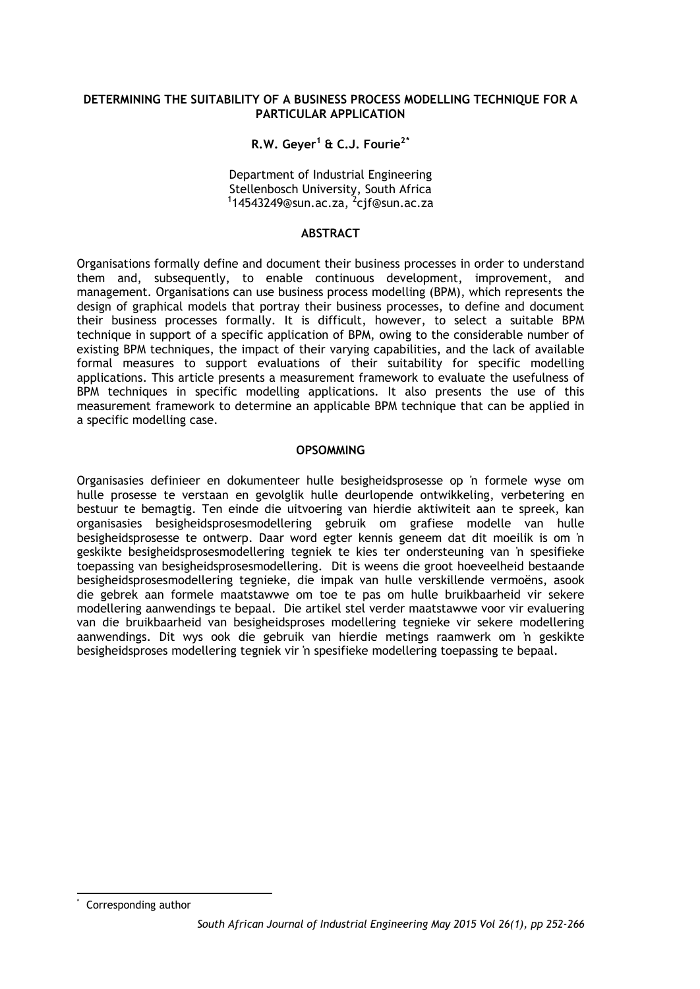#### **DETERMINING THE SUITABILITY OF A BUSINESS PROCESS MODELLING TECHNIQUE FOR A PARTICULAR APPLICATION**

## **R.W. Geyer1 & C.J. Fourie2[\\*](#page-0-0)**

Department of Industrial Engineering Stellenbosch University, South Africa <sup>1</sup> 14543249@sun.ac.za, <sup>2</sup>cjf@sun.ac.za

#### **ABSTRACT**

Organisations formally define and document their business processes in order to understand them and, subsequently, to enable continuous development, improvement, and management. Organisations can use business process modelling (BPM), which represents the design of graphical models that portray their business processes, to define and document their business processes formally. It is difficult, however, to select a suitable BPM technique in support of a specific application of BPM, owing to the considerable number of existing BPM techniques, the impact of their varying capabilities, and the lack of available formal measures to support evaluations of their suitability for specific modelling applications. This article presents a measurement framework to evaluate the usefulness of BPM techniques in specific modelling applications. It also presents the use of this measurement framework to determine an applicable BPM technique that can be applied in a specific modelling case.

#### **OPSOMMING**

Organisasies definieer en dokumenteer hulle besigheidsprosesse op 'n formele wyse om hulle prosesse te verstaan en gevolglik hulle deurlopende ontwikkeling, verbetering en bestuur te bemagtig. Ten einde die uitvoering van hierdie aktiwiteit aan te spreek, kan organisasies besigheidsprosesmodellering gebruik om grafiese modelle van hulle besigheidsprosesse te ontwerp. Daar word egter kennis geneem dat dit moeilik is om 'n geskikte besigheidsprosesmodellering tegniek te kies ter ondersteuning van 'n spesifieke toepassing van besigheidsprosesmodellering. Dit is weens die groot hoeveelheid bestaande besigheidsprosesmodellering tegnieke, die impak van hulle verskillende vermoëns, asook die gebrek aan formele maatstawwe om toe te pas om hulle bruikbaarheid vir sekere modellering aanwendings te bepaal. Die artikel stel verder maatstawwe voor vir evaluering van die bruikbaarheid van besigheidsproses modellering tegnieke vir sekere modellering aanwendings. Dit wys ook die gebruik van hierdie metings raamwerk om 'n geskikte besigheidsproses modellering tegniek vir 'n spesifieke modellering toepassing te bepaal.

<span id="page-0-0"></span>Corresponding author l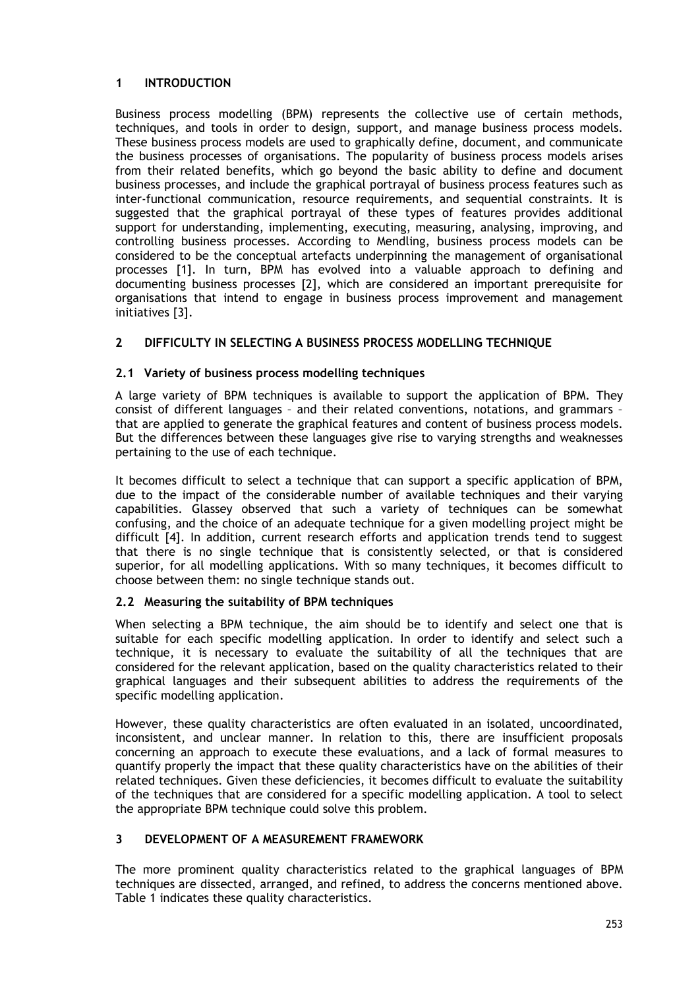# **1 INTRODUCTION**

Business process modelling (BPM) represents the collective use of certain methods, techniques, and tools in order to design, support, and manage business process models. These business process models are used to graphically define, document, and communicate the business processes of organisations. The popularity of business process models arises from their related benefits, which go beyond the basic ability to define and document business processes, and include the graphical portrayal of business process features such as inter-functional communication, resource requirements, and sequential constraints. It is suggested that the graphical portrayal of these types of features provides additional support for understanding, implementing, executing, measuring, analysing, improving, and controlling business processes. According to Mendling, business process models can be considered to be the conceptual artefacts underpinning the management of organisational processes [1]. In turn, BPM has evolved into a valuable approach to defining and documenting business processes [2], which are considered an important prerequisite for organisations that intend to engage in business process improvement and management initiatives [3].

# **2 DIFFICULTY IN SELECTING A BUSINESS PROCESS MODELLING TECHNIQUE**

## **2.1 Variety of business process modelling techniques**

A large variety of BPM techniques is available to support the application of BPM. They consist of different languages – and their related conventions, notations, and grammars – that are applied to generate the graphical features and content of business process models. But the differences between these languages give rise to varying strengths and weaknesses pertaining to the use of each technique.

It becomes difficult to select a technique that can support a specific application of BPM, due to the impact of the considerable number of available techniques and their varying capabilities. Glassey observed that such a variety of techniques can be somewhat confusing, and the choice of an adequate technique for a given modelling project might be difficult [4]. In addition, current research efforts and application trends tend to suggest that there is no single technique that is consistently selected, or that is considered superior, for all modelling applications. With so many techniques, it becomes difficult to choose between them: no single technique stands out.

## **2.2 Measuring the suitability of BPM techniques**

When selecting a BPM technique, the aim should be to identify and select one that is suitable for each specific modelling application. In order to identify and select such a technique, it is necessary to evaluate the suitability of all the techniques that are considered for the relevant application, based on the quality characteristics related to their graphical languages and their subsequent abilities to address the requirements of the specific modelling application.

However, these quality characteristics are often evaluated in an isolated, uncoordinated, inconsistent, and unclear manner. In relation to this, there are insufficient proposals concerning an approach to execute these evaluations, and a lack of formal measures to quantify properly the impact that these quality characteristics have on the abilities of their related techniques. Given these deficiencies, it becomes difficult to evaluate the suitability of the techniques that are considered for a specific modelling application. A tool to select the appropriate BPM technique could solve this problem.

# **3 DEVELOPMENT OF A MEASUREMENT FRAMEWORK**

The more prominent quality characteristics related to the graphical languages of BPM techniques are dissected, arranged, and refined, to address the concerns mentioned above. Table 1 indicates these quality characteristics.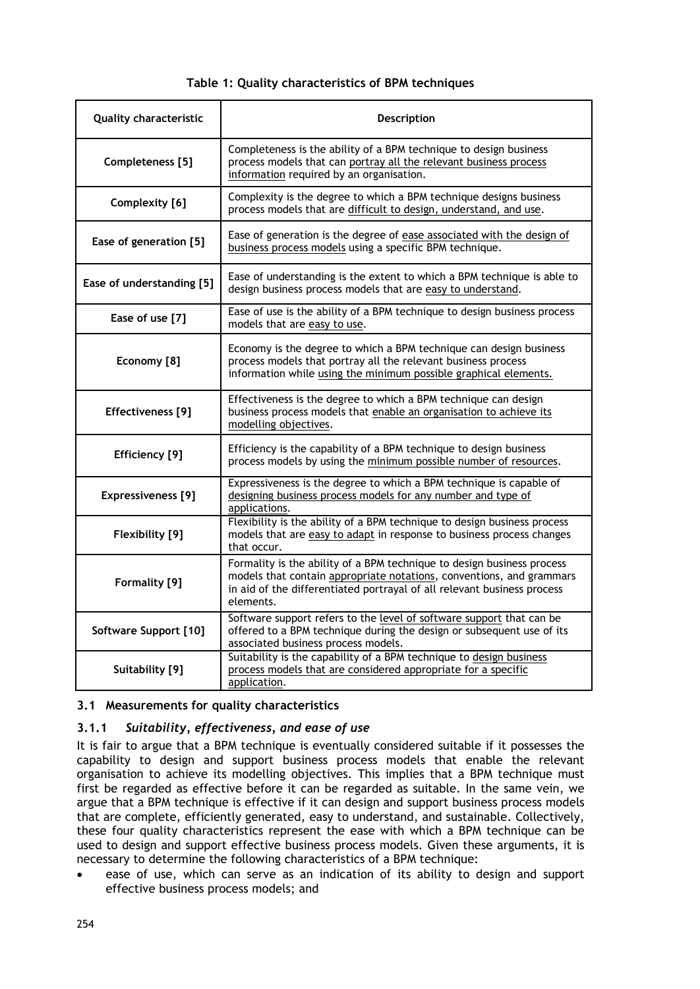## **Table 1: Quality characteristics of BPM techniques**

| <b>Quality characteristic</b> | Description                                                                                                                                                                                                                            |
|-------------------------------|----------------------------------------------------------------------------------------------------------------------------------------------------------------------------------------------------------------------------------------|
| Completeness [5]              | Completeness is the ability of a BPM technique to design business<br>process models that can portray all the relevant business process<br>information required by an organisation.                                                     |
| Complexity [6]                | Complexity is the degree to which a BPM technique designs business<br>process models that are difficult to design, understand, and use.                                                                                                |
| Ease of generation [5]        | Ease of generation is the degree of ease associated with the design of<br>business process models using a specific BPM technique.                                                                                                      |
| Ease of understanding [5]     | Ease of understanding is the extent to which a BPM technique is able to<br>design business process models that are easy to understand.                                                                                                 |
| Ease of use [7]               | Ease of use is the ability of a BPM technique to design business process<br>models that are easy to use.                                                                                                                               |
| Economy [8]                   | Economy is the degree to which a BPM technique can design business<br>process models that portray all the relevant business process<br>information while using the minimum possible graphical elements.                                |
| Effectiveness [9]             | Effectiveness is the degree to which a BPM technique can design<br>business process models that enable an organisation to achieve its<br>modelling objectives.                                                                         |
| Efficiency [9]                | Efficiency is the capability of a BPM technique to design business<br>process models by using the minimum possible number of resources.                                                                                                |
| <b>Expressiveness</b> [9]     | Expressiveness is the degree to which a BPM technique is capable of<br>designing business process models for any number and type of<br>applications.                                                                                   |
| Flexibility [9]               | Flexibility is the ability of a BPM technique to design business process<br>models that are easy to adapt in response to business process changes<br>that occur.                                                                       |
| Formality [9]                 | Formality is the ability of a BPM technique to design business process<br>models that contain appropriate notations, conventions, and grammars<br>in aid of the differentiated portrayal of all relevant business process<br>elements. |
| Software Support [10]         | Software support refers to the level of software support that can be<br>offered to a BPM technique during the design or subsequent use of its<br>associated business process models.                                                   |
| Suitability [9]               | Suitability is the capability of a BPM technique to design business<br>process models that are considered appropriate for a specific<br>application.                                                                                   |

## **3.1 Measurements for quality characteristics**

## **3.1.1** *Suitability, effectiveness, and ease of use*

It is fair to argue that a BPM technique is eventually considered suitable if it possesses the capability to design and support business process models that enable the relevant organisation to achieve its modelling objectives. This implies that a BPM technique must first be regarded as effective before it can be regarded as suitable. In the same vein, we argue that a BPM technique is effective if it can design and support business process models that are complete, efficiently generated, easy to understand, and sustainable. Collectively, these four quality characteristics represent the ease with which a BPM technique can be used to design and support effective business process models. Given these arguments, it is necessary to determine the following characteristics of a BPM technique:

ease of use, which can serve as an indication of its ability to design and support effective business process models; and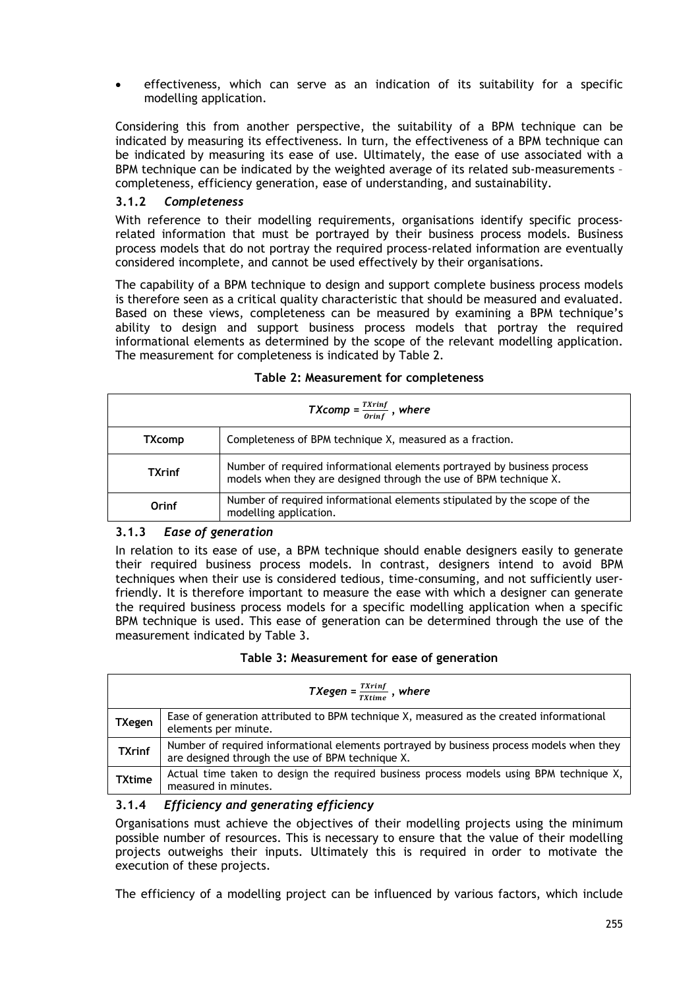• effectiveness, which can serve as an indication of its suitability for a specific modelling application.

Considering this from another perspective, the suitability of a BPM technique can be indicated by measuring its effectiveness. In turn, the effectiveness of a BPM technique can be indicated by measuring its ease of use. Ultimately, the ease of use associated with a BPM technique can be indicated by the weighted average of its related sub-measurements – completeness, efficiency generation, ease of understanding, and sustainability.

### **3.1.2** *Completeness*

With reference to their modelling requirements, organisations identify specific processrelated information that must be portrayed by their business process models. Business process models that do not portray the required process-related information are eventually considered incomplete, and cannot be used effectively by their organisations.

The capability of a BPM technique to design and support complete business process models is therefore seen as a critical quality characteristic that should be measured and evaluated. Based on these views, completeness can be measured by examining a BPM technique's ability to design and support business process models that portray the required informational elements as determined by the scope of the relevant modelling application. The measurement for completeness is indicated by Table 2.

| TXcomp = $\frac{TXrinf}{Orinf}$ , where |                                                                                                                                              |  |
|-----------------------------------------|----------------------------------------------------------------------------------------------------------------------------------------------|--|
| <b>TXcomp</b>                           | Completeness of BPM technique X, measured as a fraction.                                                                                     |  |
| <b>TXrinf</b>                           | Number of required informational elements portrayed by business process<br>models when they are designed through the use of BPM technique X. |  |
| Orinf                                   | Number of required informational elements stipulated by the scope of the<br>modelling application.                                           |  |

#### **Table 2: Measurement for completeness**

### **3.1.3** *Ease of generation*

In relation to its ease of use, a BPM technique should enable designers easily to generate their required business process models. In contrast, designers intend to avoid BPM techniques when their use is considered tedious, time-consuming, and not sufficiently userfriendly. It is therefore important to measure the ease with which a designer can generate the required business process models for a specific modelling application when a specific BPM technique is used. This ease of generation can be determined through the use of the measurement indicated by Table 3.

| Table 3: Measurement for ease of generation |  |
|---------------------------------------------|--|
|---------------------------------------------|--|

|               | TXegen = $\frac{Txrinf}{Txtime}$ , where                                                                                                     |
|---------------|----------------------------------------------------------------------------------------------------------------------------------------------|
| TXegen        | Ease of generation attributed to BPM technique X, measured as the created informational<br>elements per minute.                              |
| <b>TXrinf</b> | Number of required informational elements portrayed by business process models when they<br>are designed through the use of BPM technique X. |
| <b>TXtime</b> | Actual time taken to design the required business process models using BPM technique X,<br>measured in minutes.                              |

### **3.1.4** *Efficiency and generating efficiency*

Organisations must achieve the objectives of their modelling projects using the minimum possible number of resources. This is necessary to ensure that the value of their modelling projects outweighs their inputs. Ultimately this is required in order to motivate the execution of these projects.

The efficiency of a modelling project can be influenced by various factors, which include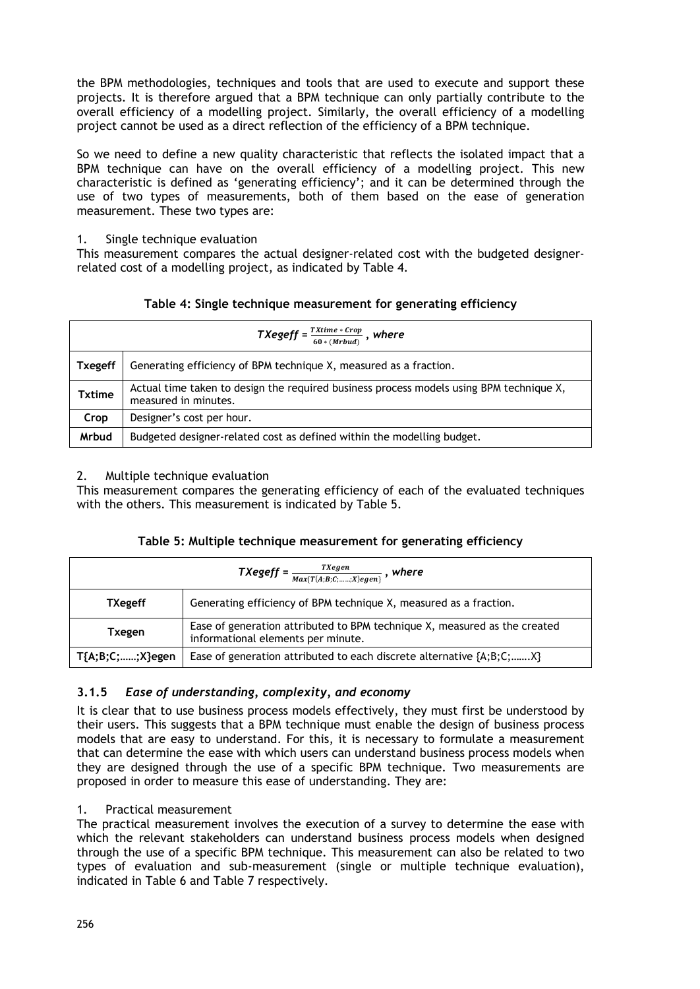the BPM methodologies, techniques and tools that are used to execute and support these projects. It is therefore argued that a BPM technique can only partially contribute to the overall efficiency of a modelling project. Similarly, the overall efficiency of a modelling project cannot be used as a direct reflection of the efficiency of a BPM technique.

So we need to define a new quality characteristic that reflects the isolated impact that a BPM technique can have on the overall efficiency of a modelling project. This new characteristic is defined as 'generating efficiency'; and it can be determined through the use of two types of measurements, both of them based on the ease of generation measurement. These two types are:

### 1. Single technique evaluation

This measurement compares the actual designer-related cost with the budgeted designerrelated cost of a modelling project, as indicated by Table 4.

## **Table 4: Single technique measurement for generating efficiency**

| TXegeff = $\frac{TXtime * Crop}{60 * (Mrbud)}$ , where |                                                                                                                 |  |
|--------------------------------------------------------|-----------------------------------------------------------------------------------------------------------------|--|
| <b>Txegeff</b>                                         | Generating efficiency of BPM technique X, measured as a fraction.                                               |  |
| <b>Txtime</b>                                          | Actual time taken to design the required business process models using BPM technique X,<br>measured in minutes. |  |
| Crop                                                   | Designer's cost per hour.                                                                                       |  |
| <b>Mrbud</b>                                           | Budgeted designer-related cost as defined within the modelling budget.                                          |  |

### 2. Multiple technique evaluation

This measurement compares the generating efficiency of each of the evaluated techniques with the others. This measurement is indicated by Table 5.

|  | Table 5: Multiple technique measurement for generating efficiency |  |  |
|--|-------------------------------------------------------------------|--|--|
|  |                                                                   |  |  |

| $TXegeff = \frac{TXegen}{Max\{T\{A,B,C;;X\}egen\}}$ , where |                                                                                                                 |  |
|-------------------------------------------------------------|-----------------------------------------------------------------------------------------------------------------|--|
| <b>TXegeff</b>                                              | Generating efficiency of BPM technique X, measured as a fraction.                                               |  |
| Txegen                                                      | Ease of generation attributed to BPM technique X, measured as the created<br>informational elements per minute. |  |
| T{A;B;C;;X}egen                                             | Ease of generation attributed to each discrete alternative {A;B;C;X}                                            |  |

## **3.1.5** *Ease of understanding, complexity, and economy*

It is clear that to use business process models effectively, they must first be understood by their users. This suggests that a BPM technique must enable the design of business process models that are easy to understand. For this, it is necessary to formulate a measurement that can determine the ease with which users can understand business process models when they are designed through the use of a specific BPM technique. Two measurements are proposed in order to measure this ease of understanding. They are:

## 1. Practical measurement

The practical measurement involves the execution of a survey to determine the ease with which the relevant stakeholders can understand business process models when designed through the use of a specific BPM technique. This measurement can also be related to two types of evaluation and sub-measurement (single or multiple technique evaluation), indicated in Table 6 and Table 7 respectively.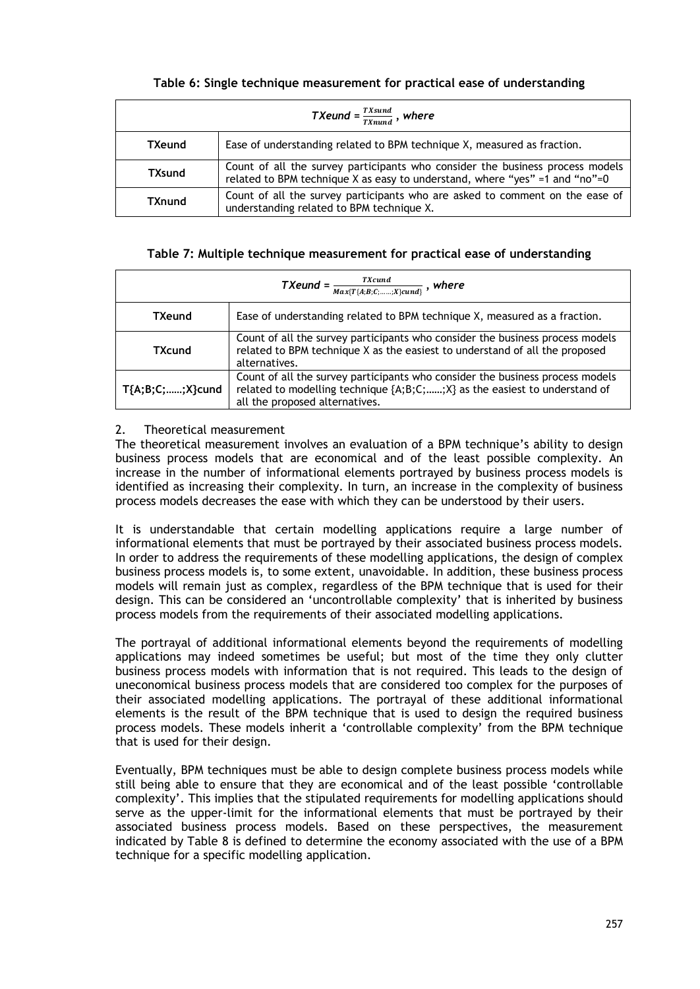| Table 6: Single technique measurement for practical ease of understanding |  |  |  |  |  |  |  |  |
|---------------------------------------------------------------------------|--|--|--|--|--|--|--|--|
|---------------------------------------------------------------------------|--|--|--|--|--|--|--|--|

| TXeund = $\frac{TXsund}{TXnund}$ , where |                                                                                                                                                              |  |
|------------------------------------------|--------------------------------------------------------------------------------------------------------------------------------------------------------------|--|
| <b>TXeund</b>                            | Ease of understanding related to BPM technique X, measured as fraction.                                                                                      |  |
| <b>TXsund</b>                            | Count of all the survey participants who consider the business process models<br>related to BPM technique X as easy to understand, where "yes" =1 and "no"=0 |  |
| <b>TXnund</b>                            | Count of all the survey participants who are asked to comment on the ease of<br>understanding related to BPM technique X.                                    |  |

### **Table 7: Multiple technique measurement for practical ease of understanding**

| TXeund = $\frac{TXcund}{Max\{T\{A;B;C;;X\}cund\}}$ , where |                                                                                                                                                                                              |  |
|------------------------------------------------------------|----------------------------------------------------------------------------------------------------------------------------------------------------------------------------------------------|--|
| <b>TXeund</b>                                              | Ease of understanding related to BPM technique X, measured as a fraction.                                                                                                                    |  |
| TXcund                                                     | Count of all the survey participants who consider the business process models<br>related to BPM technique X as the easiest to understand of all the proposed<br>alternatives.                |  |
| $T{A;B;C;;X}$ cund                                         | Count of all the survey participants who consider the business process models<br>related to modelling technique {A;B;C;;X} as the easiest to understand of<br>all the proposed alternatives. |  |

### 2. Theoretical measurement

The theoretical measurement involves an evaluation of a BPM technique's ability to design business process models that are economical and of the least possible complexity. An increase in the number of informational elements portrayed by business process models is identified as increasing their complexity. In turn, an increase in the complexity of business process models decreases the ease with which they can be understood by their users.

It is understandable that certain modelling applications require a large number of informational elements that must be portrayed by their associated business process models. In order to address the requirements of these modelling applications, the design of complex business process models is, to some extent, unavoidable. In addition, these business process models will remain just as complex, regardless of the BPM technique that is used for their design. This can be considered an 'uncontrollable complexity' that is inherited by business process models from the requirements of their associated modelling applications.

The portrayal of additional informational elements beyond the requirements of modelling applications may indeed sometimes be useful; but most of the time they only clutter business process models with information that is not required. This leads to the design of uneconomical business process models that are considered too complex for the purposes of their associated modelling applications. The portrayal of these additional informational elements is the result of the BPM technique that is used to design the required business process models. These models inherit a 'controllable complexity' from the BPM technique that is used for their design.

Eventually, BPM techniques must be able to design complete business process models while still being able to ensure that they are economical and of the least possible 'controllable complexity'. This implies that the stipulated requirements for modelling applications should serve as the upper-limit for the informational elements that must be portrayed by their associated business process models. Based on these perspectives, the measurement indicated by Table 8 is defined to determine the economy associated with the use of a BPM technique for a specific modelling application.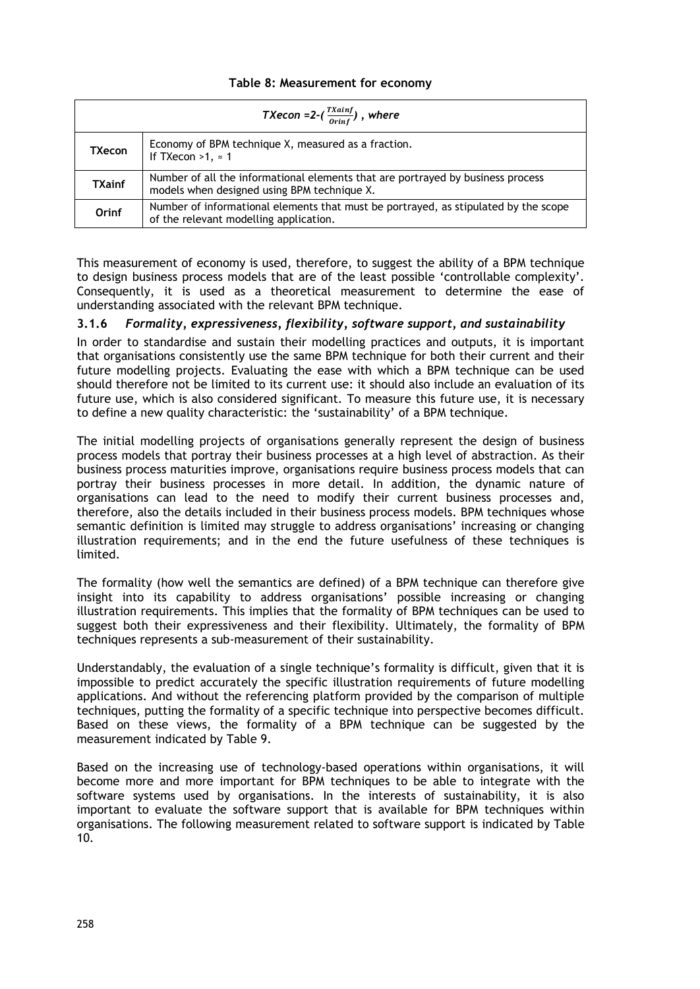### **Table 8: Measurement for economy**

|               | TXecon =2- $(\frac{Txainf}{0rinf})$ , where                                                                                    |
|---------------|--------------------------------------------------------------------------------------------------------------------------------|
| <b>TXecon</b> | Economy of BPM technique X, measured as a fraction.<br>If TXecon $>1$ , $\approx$ 1                                            |
| <b>TXainf</b> | Number of all the informational elements that are portrayed by business process<br>models when designed using BPM technique X. |
| Orinf         | Number of informational elements that must be portrayed, as stipulated by the scope<br>of the relevant modelling application.  |

This measurement of economy is used, therefore, to suggest the ability of a BPM technique to design business process models that are of the least possible 'controllable complexity'. Consequently, it is used as a theoretical measurement to determine the ease of understanding associated with the relevant BPM technique.

### **3.1.6** *Formality, expressiveness, flexibility, software support, and sustainability*

In order to standardise and sustain their modelling practices and outputs, it is important that organisations consistently use the same BPM technique for both their current and their future modelling projects. Evaluating the ease with which a BPM technique can be used should therefore not be limited to its current use: it should also include an evaluation of its future use, which is also considered significant. To measure this future use, it is necessary to define a new quality characteristic: the 'sustainability' of a BPM technique.

The initial modelling projects of organisations generally represent the design of business process models that portray their business processes at a high level of abstraction. As their business process maturities improve, organisations require business process models that can portray their business processes in more detail. In addition, the dynamic nature of organisations can lead to the need to modify their current business processes and, therefore, also the details included in their business process models. BPM techniques whose semantic definition is limited may struggle to address organisations' increasing or changing illustration requirements; and in the end the future usefulness of these techniques is limited.

The formality (how well the semantics are defined) of a BPM technique can therefore give insight into its capability to address organisations' possible increasing or changing illustration requirements. This implies that the formality of BPM techniques can be used to suggest both their expressiveness and their flexibility. Ultimately, the formality of BPM techniques represents a sub-measurement of their sustainability.

Understandably, the evaluation of a single technique's formality is difficult, given that it is impossible to predict accurately the specific illustration requirements of future modelling applications. And without the referencing platform provided by the comparison of multiple techniques, putting the formality of a specific technique into perspective becomes difficult. Based on these views, the formality of a BPM technique can be suggested by the measurement indicated by Table 9.

Based on the increasing use of technology-based operations within organisations, it will become more and more important for BPM techniques to be able to integrate with the software systems used by organisations. In the interests of sustainability, it is also important to evaluate the software support that is available for BPM techniques within organisations. The following measurement related to software support is indicated by Table 10.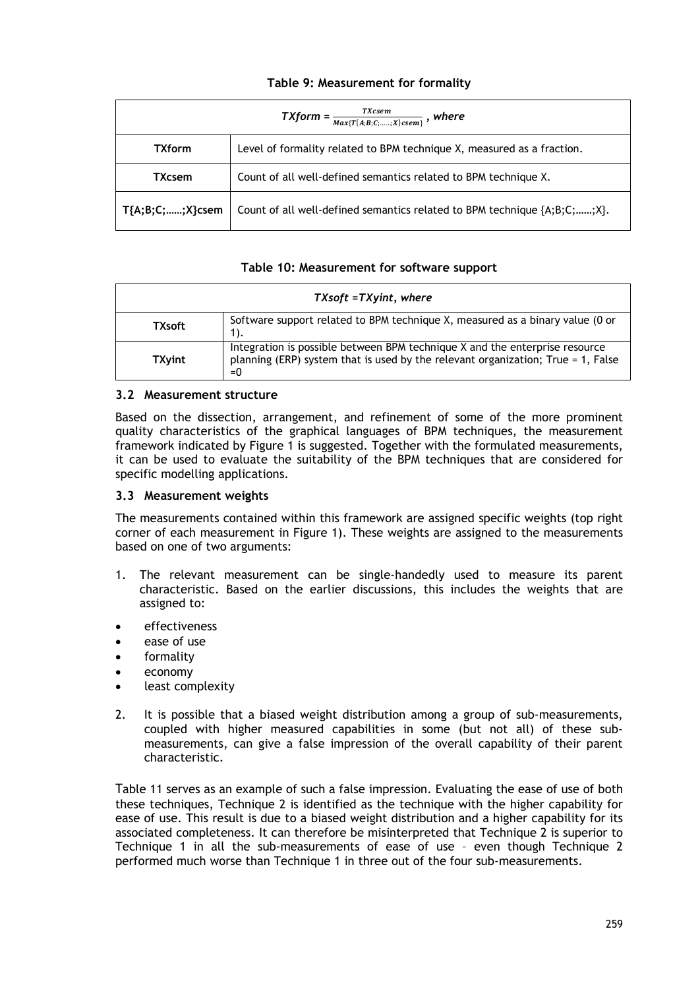## **Table 9: Measurement for formality**

| $TXform = \frac{TXcsem}{Max\{T\{A;B;C;;X\}csem\}}$ , where |                                                                                         |  |
|------------------------------------------------------------|-----------------------------------------------------------------------------------------|--|
| <b>TXform</b>                                              | Level of formality related to BPM technique X, measured as a fraction.                  |  |
| <b>TXcsem</b>                                              | Count of all well-defined semantics related to BPM technique X.                         |  |
| T{A;B;C;;X}csem                                            | Count of all well-defined semantics related to BPM technique $\{A; B; C; \ldots, X\}$ . |  |

### **Table 10: Measurement for software support**

| $TXsoft = TXyint$ , where |                                                                                                                                                                             |  |  |  |
|---------------------------|-----------------------------------------------------------------------------------------------------------------------------------------------------------------------------|--|--|--|
| <b>TXsoft</b>             | Software support related to BPM technique X, measured as a binary value (0 or<br>1).                                                                                        |  |  |  |
| <b>TXyint</b>             | Integration is possible between BPM technique X and the enterprise resource<br>planning (ERP) system that is used by the relevant organization; True $= 1$ , False<br>$= 0$ |  |  |  |

### **3.2 Measurement structure**

Based on the dissection, arrangement, and refinement of some of the more prominent quality characteristics of the graphical languages of BPM techniques, the measurement framework indicated by Figure 1 is suggested. Together with the formulated measurements, it can be used to evaluate the suitability of the BPM techniques that are considered for specific modelling applications.

### **3.3 Measurement weights**

The measurements contained within this framework are assigned specific weights (top right corner of each measurement in Figure 1). These weights are assigned to the measurements based on one of two arguments:

- 1. The relevant measurement can be single-handedly used to measure its parent characteristic. Based on the earlier discussions, this includes the weights that are assigned to:
- effectiveness
- ease of use
- formality
- economy
- least complexity
- 2. It is possible that a biased weight distribution among a group of sub-measurements, coupled with higher measured capabilities in some (but not all) of these submeasurements, can give a false impression of the overall capability of their parent characteristic.

Table 11 serves as an example of such a false impression. Evaluating the ease of use of both these techniques, Technique 2 is identified as the technique with the higher capability for ease of use. This result is due to a biased weight distribution and a higher capability for its associated completeness. It can therefore be misinterpreted that Technique 2 is superior to Technique 1 in all the sub-measurements of ease of use – even though Technique 2 performed much worse than Technique 1 in three out of the four sub-measurements.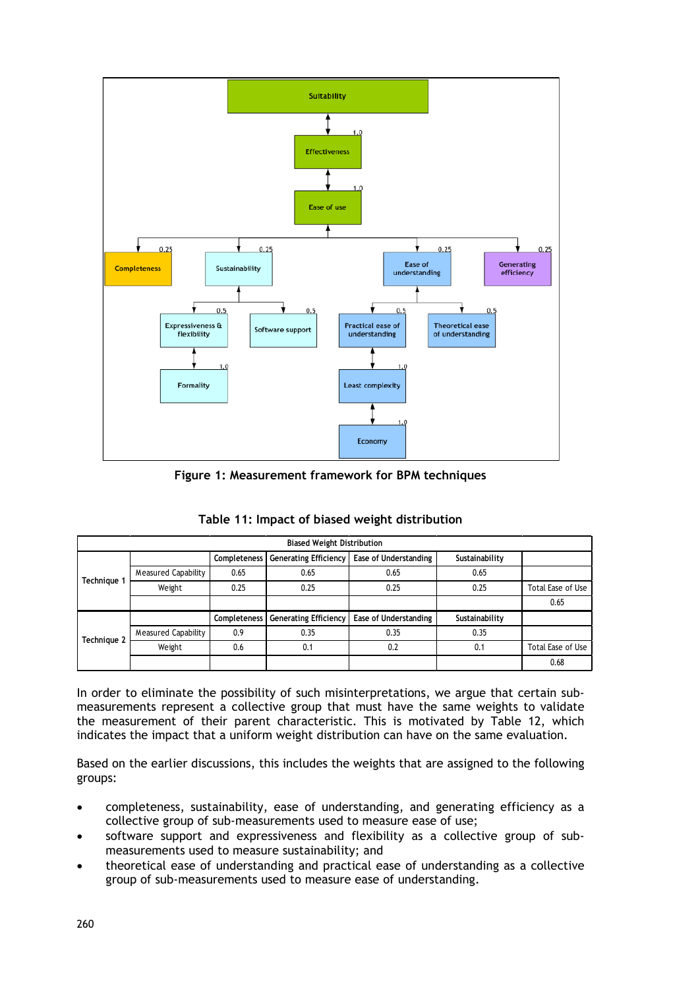

**Figure 1: Measurement framework for BPM techniques**

| <b>Biased Weight Distribution</b> |                            |              |                              |                       |                |                   |  |  |
|-----------------------------------|----------------------------|--------------|------------------------------|-----------------------|----------------|-------------------|--|--|
|                                   |                            | Completeness | <b>Generating Efficiency</b> | Ease of Understanding | Sustainability |                   |  |  |
| Technique 1                       | Measured Capability        | 0.65         | 0.65                         | 0.65                  | 0.65           |                   |  |  |
|                                   | Weight                     | 0.25         | 0.25                         | 0.25                  | 0.25           | Total Ease of Use |  |  |
|                                   |                            |              |                              |                       |                | 0.65              |  |  |
|                                   |                            | Completeness | <b>Generating Efficiency</b> | Ease of Understanding | Sustainability |                   |  |  |
| Technique 2                       | <b>Measured Capability</b> | 0.9          | 0.35                         | 0.35                  | 0.35           |                   |  |  |
|                                   | Weight                     | 0.6          | 0.1                          | 0.2                   | 0.1            | Total Ease of Use |  |  |
|                                   |                            |              |                              |                       |                | 0.68              |  |  |

In order to eliminate the possibility of such misinterpretations, we argue that certain submeasurements represent a collective group that must have the same weights to validate the measurement of their parent characteristic. This is motivated by Table 12, which indicates the impact that a uniform weight distribution can have on the same evaluation.

Based on the earlier discussions, this includes the weights that are assigned to the following groups:

- completeness, sustainability, ease of understanding, and generating efficiency as a collective group of sub-measurements used to measure ease of use;
- software support and expressiveness and flexibility as a collective group of submeasurements used to measure sustainability; and
- theoretical ease of understanding and practical ease of understanding as a collective group of sub-measurements used to measure ease of understanding.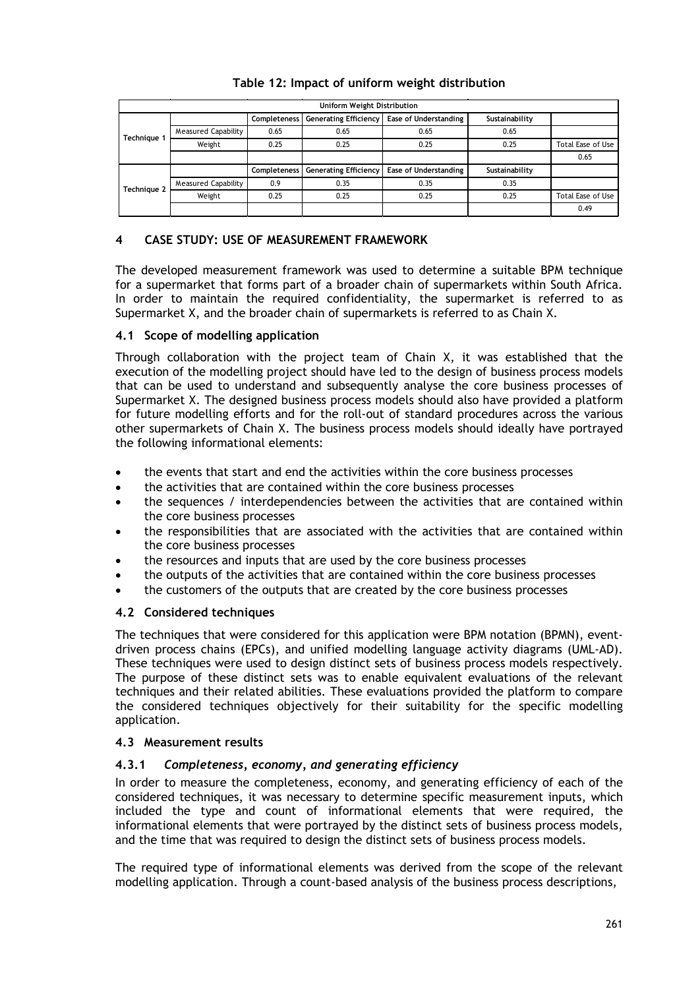|             |                     |                     | Uniform Weight Distribution  |                       |                |                   |
|-------------|---------------------|---------------------|------------------------------|-----------------------|----------------|-------------------|
|             |                     | <b>Completeness</b> | <b>Generating Efficiency</b> | Ease of Understanding | Sustainability |                   |
|             | Measured Capability | 0.65                | 0.65                         | 0.65                  | 0.65           |                   |
| Technique 1 | Weight              | 0.25                | 0.25                         | 0.25                  | 0.25           | Total Ease of Use |
|             |                     |                     |                              |                       |                | 0.65              |
|             |                     | <b>Completeness</b> | <b>Generating Efficiency</b> | Ease of Understanding | Sustainability |                   |
| Technique 2 | Measured Capability | 0.9                 | 0.35                         | 0.35                  | 0.35           |                   |
|             | Weight              | 0.25                | 0.25                         | 0.25                  | 0.25           | Total Ease of Use |
|             |                     |                     |                              |                       |                | 0.49              |

# **Table 12: Impact of uniform weight distribution**

## **4 CASE STUDY: USE OF MEASUREMENT FRAMEWORK**

The developed measurement framework was used to determine a suitable BPM technique for a supermarket that forms part of a broader chain of supermarkets within South Africa. In order to maintain the required confidentiality, the supermarket is referred to as Supermarket X, and the broader chain of supermarkets is referred to as Chain X.

### **4.1 Scope of modelling application**

Through collaboration with the project team of Chain X, it was established that the execution of the modelling project should have led to the design of business process models that can be used to understand and subsequently analyse the core business processes of Supermarket X. The designed business process models should also have provided a platform for future modelling efforts and for the roll-out of standard procedures across the various other supermarkets of Chain X. The business process models should ideally have portrayed the following informational elements:

- the events that start and end the activities within the core business processes
- the activities that are contained within the core business processes
- the sequences / interdependencies between the activities that are contained within the core business processes
- the responsibilities that are associated with the activities that are contained within the core business processes
- the resources and inputs that are used by the core business processes
- the outputs of the activities that are contained within the core business processes
- the customers of the outputs that are created by the core business processes

### **4.2 Considered techniques**

The techniques that were considered for this application were BPM notation (BPMN), eventdriven process chains (EPCs), and unified modelling language activity diagrams (UML-AD). These techniques were used to design distinct sets of business process models respectively. The purpose of these distinct sets was to enable equivalent evaluations of the relevant techniques and their related abilities. These evaluations provided the platform to compare the considered techniques objectively for their suitability for the specific modelling application.

### **4.3 Measurement results**

### **4.3.1** *Completeness, economy, and generating efficiency*

In order to measure the completeness, economy, and generating efficiency of each of the considered techniques, it was necessary to determine specific measurement inputs, which included the type and count of informational elements that were required, the informational elements that were portrayed by the distinct sets of business process models, and the time that was required to design the distinct sets of business process models.

The required type of informational elements was derived from the scope of the relevant modelling application. Through a count-based analysis of the business process descriptions,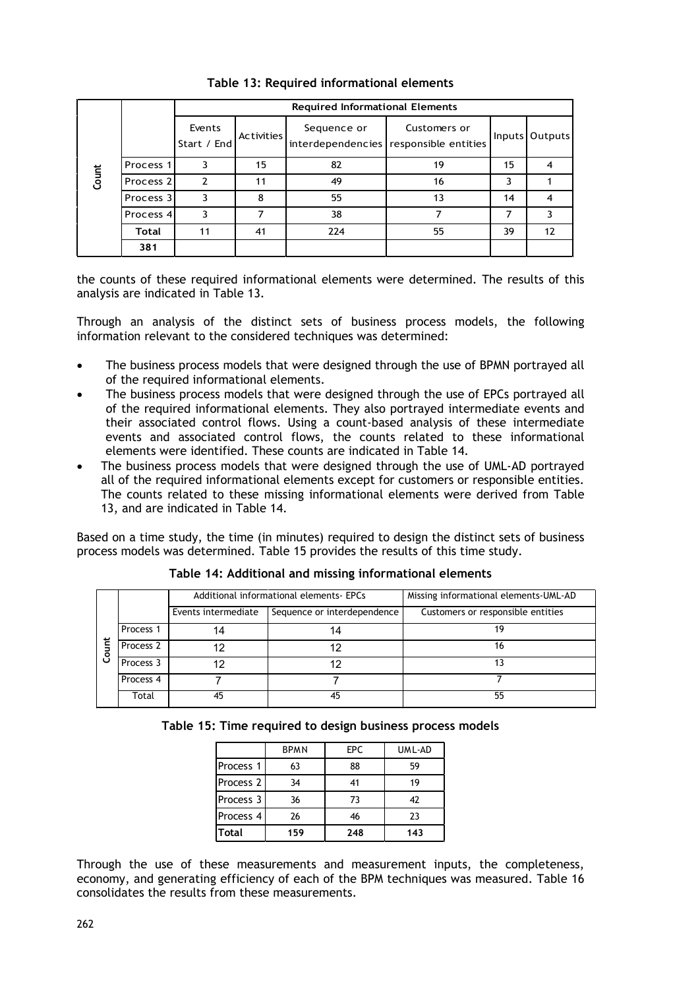|       |                      |                       |                   | <b>Required Informational Elements</b> |                                                        |        |         |
|-------|----------------------|-----------------------|-------------------|----------------------------------------|--------------------------------------------------------|--------|---------|
| Count |                      | Events<br>Start / End | <b>Activities</b> | Sequence or                            | Customers or<br>interdependencies responsible entities | Inputs | Outputs |
|       | Process 1            | 3                     | 15                | 82                                     | 19                                                     | 15     |         |
|       | Process <sub>2</sub> |                       | 11                | 49                                     | 16                                                     |        |         |
|       | Process 3            | 3                     | 8                 | 55                                     | 13                                                     | 14     |         |
|       | Process 4            | 3                     |                   | 38                                     |                                                        |        |         |
|       | <b>Total</b>         | 11                    | 41                | 224                                    | 55                                                     | 39     | 12      |
|       | 381                  |                       |                   |                                        |                                                        |        |         |

**Table 13: Required informational elements**

the counts of these required informational elements were determined. The results of this analysis are indicated in Table 13.

Through an analysis of the distinct sets of business process models, the following information relevant to the considered techniques was determined:

- The business process models that were designed through the use of BPMN portrayed all of the required informational elements.
- The business process models that were designed through the use of EPCs portrayed all of the required informational elements. They also portrayed intermediate events and their associated control flows. Using a count-based analysis of these intermediate events and associated control flows, the counts related to these informational elements were identified. These counts are indicated in Table 14.
- The business process models that were designed through the use of UML-AD portrayed all of the required informational elements except for customers or responsible entities. The counts related to these missing informational elements were derived from Table 13, and are indicated in Table 14.

Based on a time study, the time (in minutes) required to design the distinct sets of business process models was determined. Table 15 provides the results of this time study.

|    |                      |                                                    | Additional informational elements- EPCs | Missing informational elements-UML-AD |  |  |
|----|----------------------|----------------------------------------------------|-----------------------------------------|---------------------------------------|--|--|
|    |                      | Sequence or interdependence<br>Events intermediate |                                         | Customers or responsible entities     |  |  |
|    | Process <sub>1</sub> | 14                                                 |                                         |                                       |  |  |
| ţ  | Process <sub>2</sub> | 12                                                 | 12                                      | 16                                    |  |  |
| ලි | Process 3            | 12                                                 | 12                                      |                                       |  |  |
|    | Process 4            |                                                    |                                         |                                       |  |  |
|    | Total                | 45                                                 | 45                                      | 55                                    |  |  |

**Table 14: Additional and missing informational elements**

|  |  |  | Table 15: Time required to design business process models |
|--|--|--|-----------------------------------------------------------|
|  |  |  |                                                           |

|                      | <b>BPMN</b> | <b>EPC</b> | UML-AD |
|----------------------|-------------|------------|--------|
| Process <sub>1</sub> | 63          | 88         | 59     |
| Process <sub>2</sub> | 34          | 41         | 19     |
| Process 3            | 36          | 73         | 42     |
| Process 4            | 26          | 46         | 23     |
| <b>Total</b>         | 159         | 248        | 143    |

Through the use of these measurements and measurement inputs, the completeness, economy, and generating efficiency of each of the BPM techniques was measured. Table 16 consolidates the results from these measurements.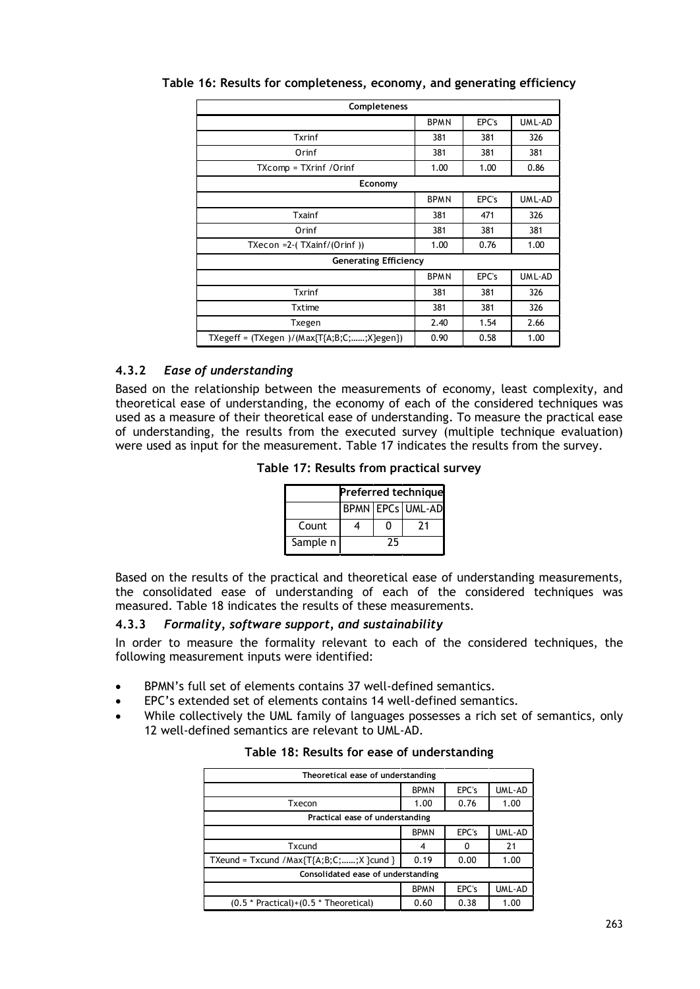| Completeness                                 |             |       |         |  |  |
|----------------------------------------------|-------------|-------|---------|--|--|
|                                              | <b>BPMN</b> | EPC's | UM L-AD |  |  |
| Txrinf                                       | 381         | 381   | 326     |  |  |
| Orinf                                        | 381         | 381   | 381     |  |  |
| TXcomp = TXrinf /Orinf                       | 1.00        | 1.00  | 0.86    |  |  |
| Economy                                      |             |       |         |  |  |
|                                              | <b>BPMN</b> | EPC's | UML-AD  |  |  |
| Txainf                                       | 381         | 471   | 326     |  |  |
| Orinf                                        | 381         | 381   | 381     |  |  |
| TXecon = $2-(TXainf/(Orinf))$                | 1.00        | 0.76  | 1.00    |  |  |
| <b>Generating Efficiency</b>                 |             |       |         |  |  |
|                                              | <b>BPMN</b> | EPC's | UML-AD  |  |  |
| Txrinf                                       | 381         | 381   | 326     |  |  |
| Txtime                                       | 381         | 381   | 326     |  |  |
| Txegen                                       | 2.40        | 1.54  | 2.66    |  |  |
| TXegeff = $(TXegen$ )/(Max{T{A;B;C;;X}egen}) | 0.90        | 0.58  | 1.00    |  |  |

## **Table 16: Results for completeness, economy, and generating efficiency**

### **4.3.2** *Ease of understanding*

Based on the relationship between the measurements of economy, least complexity, and theoretical ease of understanding, the economy of each of the considered techniques was used as a measure of their theoretical ease of understanding. To measure the practical ease of understanding, the results from the executed survey (multiple technique evaluation) were used as input for the measurement. Table 17 indicates the results from the survey.

**Table 17: Results from practical survey**

|          | Preferred technique     |    |    |  |  |  |
|----------|-------------------------|----|----|--|--|--|
|          | <b>BPMN EPCs UML-AD</b> |    |    |  |  |  |
| Count    |                         |    | 21 |  |  |  |
| Sample n |                         | 25 |    |  |  |  |

Based on the results of the practical and theoretical ease of understanding measurements, the consolidated ease of understanding of each of the considered techniques was measured. Table 18 indicates the results of these measurements.

### **4.3.3** *Formality, software support, and sustainability*

In order to measure the formality relevant to each of the considered techniques, the following measurement inputs were identified:

- BPMN's full set of elements contains 37 well-defined semantics.
- EPC's extended set of elements contains 14 well-defined semantics.
- While collectively the UML family of languages possesses a rich set of semantics, only 12 well-defined semantics are relevant to UML-AD.

| Table 18: Results for ease of understanding |  |
|---------------------------------------------|--|
| Theoretical ease of understanding           |  |

| Theoretical ease of understanding          |             |       |        |  |  |  |
|--------------------------------------------|-------------|-------|--------|--|--|--|
|                                            | <b>BPMN</b> | EPC's | UML-AD |  |  |  |
| Txecon                                     | 1.00        | 0.76  | 1.00   |  |  |  |
| Practical ease of understanding            |             |       |        |  |  |  |
|                                            | <b>BPMN</b> | EPC's | UML-AD |  |  |  |
| Txcund                                     |             |       | 21     |  |  |  |
| TXeund = Txcund /Max ${T_A;B;C;;X}$ cund } | 0.19        | 0.00  | 1.00   |  |  |  |
| Consolidated ease of understanding         |             |       |        |  |  |  |
|                                            | <b>BPMN</b> | EPC's | UML-AD |  |  |  |
| $(0.5 * Practical)+(0.5 * Theoretical)$    | 0.60        | 0.38  | 1.00   |  |  |  |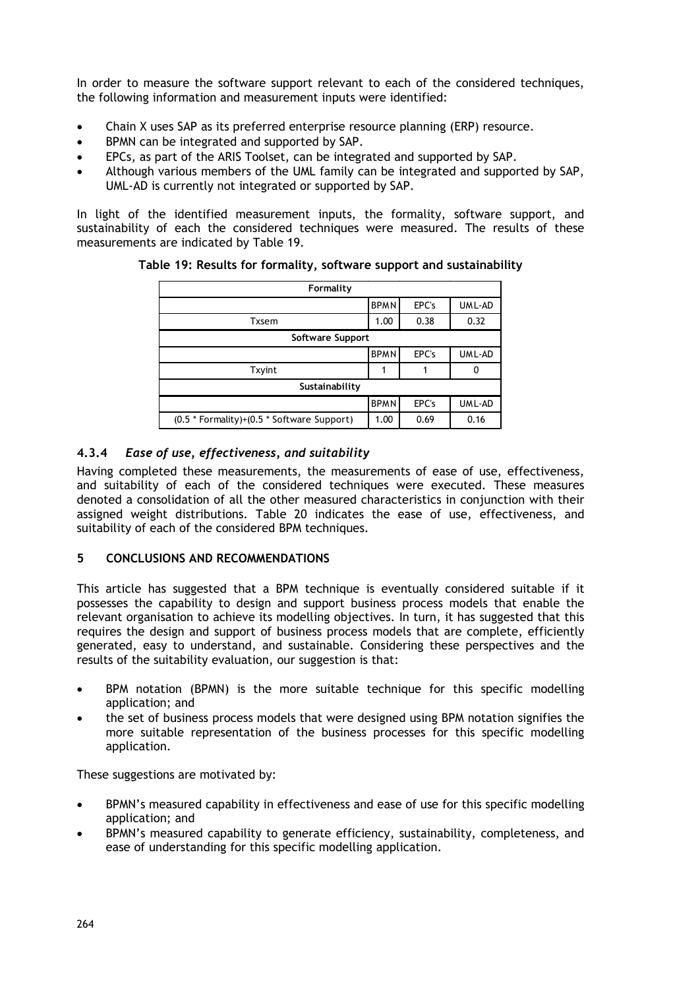In order to measure the software support relevant to each of the considered techniques, the following information and measurement inputs were identified:

- Chain X uses SAP as its preferred enterprise resource planning (ERP) resource.
- BPMN can be integrated and supported by SAP.
- EPCs, as part of the ARIS Toolset, can be integrated and supported by SAP.
- Although various members of the UML family can be integrated and supported by SAP, UML-AD is currently not integrated or supported by SAP.

In light of the identified measurement inputs, the formality, software support, and sustainability of each the considered techniques were measured. The results of these measurements are indicated by Table 19.

| Formality                                  |             |       |        |  |  |  |  |  |
|--------------------------------------------|-------------|-------|--------|--|--|--|--|--|
|                                            | <b>BPMN</b> | EPC's | UML-AD |  |  |  |  |  |
| <b>Txsem</b>                               | 1.00        | 0.38  | 0.32   |  |  |  |  |  |
| Software Support                           |             |       |        |  |  |  |  |  |
|                                            | <b>BPMN</b> | EPC's | UML-AD |  |  |  |  |  |
| Txyint                                     |             |       |        |  |  |  |  |  |
| Sustainability                             |             |       |        |  |  |  |  |  |
|                                            | <b>BPMN</b> | EPC's | UML-AD |  |  |  |  |  |
| (0.5 * Formality)+(0.5 * Software Support) |             | 0.69  | 0.16   |  |  |  |  |  |

### **Table 19: Results for formality, software support and sustainability**

## **4.3.4** *Ease of use, effectiveness, and suitability*

Having completed these measurements, the measurements of ease of use, effectiveness, and suitability of each of the considered techniques were executed. These measures denoted a consolidation of all the other measured characteristics in conjunction with their assigned weight distributions. Table 20 indicates the ease of use, effectiveness, and suitability of each of the considered BPM techniques.

### **5 CONCLUSIONS AND RECOMMENDATIONS**

This article has suggested that a BPM technique is eventually considered suitable if it possesses the capability to design and support business process models that enable the relevant organisation to achieve its modelling objectives. In turn, it has suggested that this requires the design and support of business process models that are complete, efficiently generated, easy to understand, and sustainable. Considering these perspectives and the results of the suitability evaluation, our suggestion is that:

- BPM notation (BPMN) is the more suitable technique for this specific modelling application; and
- the set of business process models that were designed using BPM notation signifies the more suitable representation of the business processes for this specific modelling application.

These suggestions are motivated by:

- BPMN's measured capability in effectiveness and ease of use for this specific modelling application; and
- BPMN's measured capability to generate efficiency, sustainability, completeness, and ease of understanding for this specific modelling application.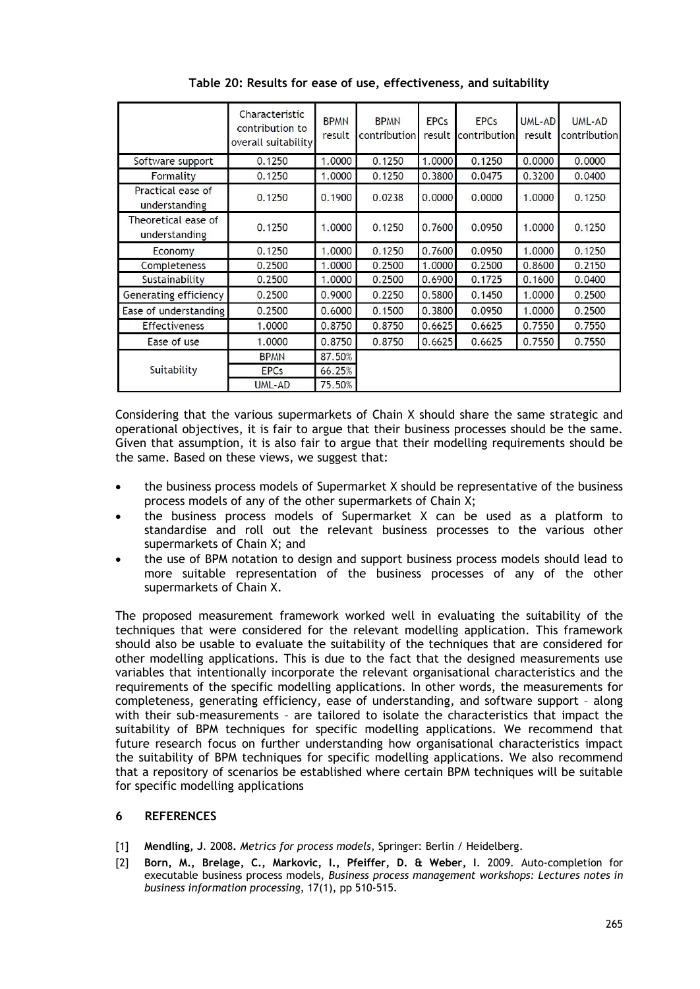|                                      | Characteristic<br>contribution to<br>overall suitability | <b>BPMN</b><br>result | <b>BPMN</b><br>contribution | <b>EPCs</b><br>result | <b>EPCs</b><br>contribution | UML-AD<br>result | UML-AD<br>contribution |
|--------------------------------------|----------------------------------------------------------|-----------------------|-----------------------------|-----------------------|-----------------------------|------------------|------------------------|
| Software support                     | 0.1250                                                   | 1.0000                | 0.1250                      | 1.0000                | 0.1250                      | 0.0000           | 0.0000                 |
| Formality                            | 0.1250                                                   | 1.0000                | 0.1250                      | 0.3800                | 0.0475                      | 0.3200           | 0.0400                 |
| Practical ease of<br>understanding   | 0.1250                                                   | 0.1900                | 0.0238                      | 0.0000                | 0.0000                      | 1.0000           | 0.1250                 |
| Theoretical ease of<br>understanding | 0.1250                                                   | 1.0000                | 0.1250                      | 0.7600                | 0.0950                      | 1.0000           | 0.1250                 |
| Economy                              | 0.1250                                                   | 1.0000                | 0.1250                      | 0.7600                | 0.0950                      | 1.0000           | 0.1250                 |
| Completeness                         | 0.2500                                                   | 1.0000                | 0.2500                      | 1.0000                | 0.2500                      | 0.8600           | 0.2150                 |
| Sustainability                       | 0.2500                                                   | 1.0000                | 0.2500                      | 0.6900                | 0.1725                      | 0.1600           | 0.0400                 |
| Generating efficiency                | 0.2500                                                   | 0.9000                | 0.2250                      | 0.5800                | 0.1450                      | 1.0000           | 0.2500                 |
| Ease of understanding                | 0.2500                                                   | 0.6000                | 0.1500                      | 0.3800                | 0.0950                      | 1.0000           | 0.2500                 |
| <b>Effectiveness</b>                 | 1.0000                                                   | 0.8750                | 0.8750                      | 0.6625                | 0.6625                      | 0.7550           | 0.7550                 |
| Ease of use                          | 1.0000                                                   | 0.8750                | 0.8750                      | 0.6625                | 0.6625                      | 0.7550           | 0.7550                 |
|                                      | <b>BPMN</b>                                              | 87.50%                |                             |                       |                             |                  |                        |
| Suitability                          | <b>EPCs</b>                                              | 66.25%                |                             |                       |                             |                  |                        |
|                                      | UML-AD                                                   | 75.50%                |                             |                       |                             |                  |                        |

**Table 20: Results for ease of use, effectiveness, and suitability**

Considering that the various supermarkets of Chain X should share the same strategic and operational objectives, it is fair to argue that their business processes should be the same. Given that assumption, it is also fair to argue that their modelling requirements should be the same. Based on these views, we suggest that:

- the business process models of Supermarket X should be representative of the business process models of any of the other supermarkets of Chain X;
- the business process models of Supermarket X can be used as a platform to standardise and roll out the relevant business processes to the various other supermarkets of Chain X; and
- the use of BPM notation to design and support business process models should lead to more suitable representation of the business processes of any of the other supermarkets of Chain X.

The proposed measurement framework worked well in evaluating the suitability of the techniques that were considered for the relevant modelling application. This framework should also be usable to evaluate the suitability of the techniques that are considered for other modelling applications. This is due to the fact that the designed measurements use variables that intentionally incorporate the relevant organisational characteristics and the requirements of the specific modelling applications. In other words, the measurements for completeness, generating efficiency, ease of understanding, and software support – along with their sub-measurements – are tailored to isolate the characteristics that impact the suitability of BPM techniques for specific modelling applications. We recommend that future research focus on further understanding how organisational characteristics impact the suitability of BPM techniques for specific modelling applications. We also recommend that a repository of scenarios be established where certain BPM techniques will be suitable for specific modelling applications

### **6 REFERENCES**

- [1] **Mendling, J**. 2008**.** *Metrics for process models*, Springer: Berlin / Heidelberg.
- [2] **Born, M., Brelage, C., Markovic, I., Pfeiffer, D. & Weber, I**. 2009. Auto-completion for executable business process models, *Business process management workshops: Lectures notes in business information processing*, 17(1), pp 510-515.